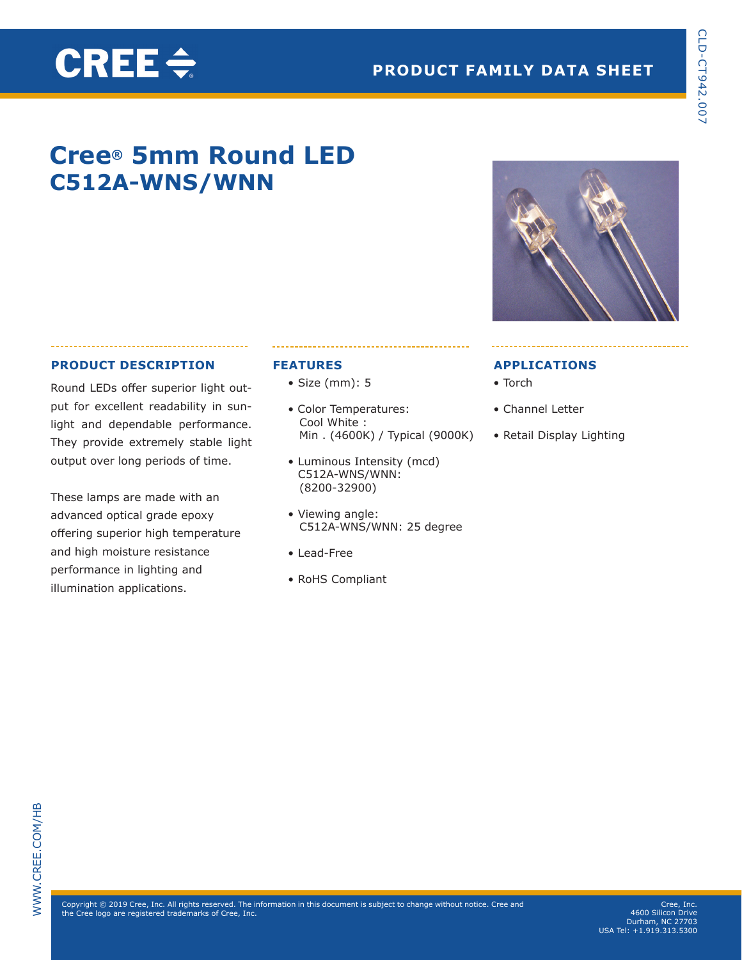### **Cree® 5mm Round LED C512A-WNS/WNN**

#### **PRODUCT DESCRIPTION**

CREE $\div$ 

Round LEDs offer superior light output for excellent readability in sunlight and dependable performance. They provide extremely stable light output over long periods of time.

These lamps are made with an advanced optical grade epoxy offering superior high temperature and high moisture resistance performance in lighting and illumination applications.

#### **FEATURES**

- Size (mm): 5
- Color Temperatures: Cool White : Min . (4600K) / Typical (9000K)
- Luminous Intensity (mcd) C512A-WNS/WNN: (8200-32900)
- Viewing angle: C512A-WNS/WNN: 25 degree
- Lead-Free
- RoHS Compliant

#### **APPLICATIONS**

- Torch
- Channel Letter
- Retail Display Lighting

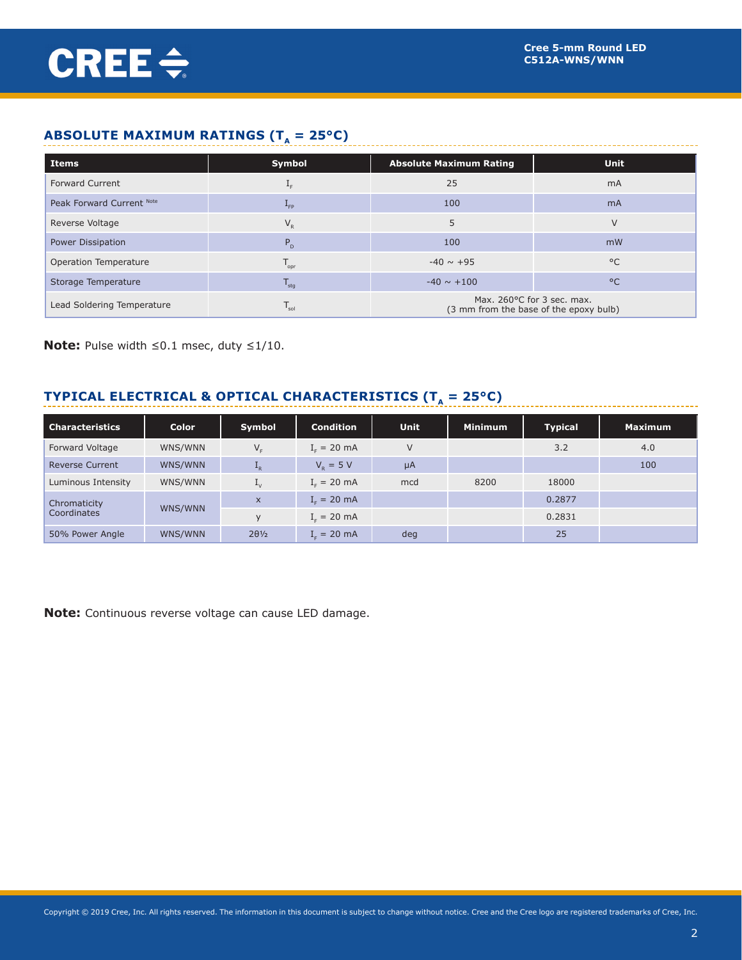#### **ABSOLUTE MAXIMUM RATINGS (** $T_A = 25^{\circ}C$ **)**

| <b>Items</b>               | Symbol                      | <b>Absolute Maximum Rating</b> | <b>Unit</b>                            |  |
|----------------------------|-----------------------------|--------------------------------|----------------------------------------|--|
| <b>Forward Current</b>     |                             | 25                             | m <sub>A</sub>                         |  |
| Peak Forward Current Note  | $L_{FP}$                    | 100                            | m <sub>A</sub>                         |  |
| Reverse Voltage            | $V_{R}$                     |                                | $\vee$                                 |  |
| Power Dissipation          | $P_{D}$                     | 100                            | mW                                     |  |
| Operation Temperature      | $T_{\rm opr}$               | $-40 \sim +95$                 | $^{\circ}$ C                           |  |
| Storage Temperature        | $T_{\text{stg}}$            | $-40 \sim +100$                | $^{\circ}$                             |  |
| Lead Soldering Temperature | $\mathsf{T}_{\mathsf{sol}}$ | Max. 260°C for 3 sec. max.     | (3 mm from the base of the epoxy bulb) |  |

**Note:** Pulse width ≤0.1 msec, duty ≤1/10.

#### **TYPICAL ELECTRICAL & OPTICAL CHARACTERISTICS (T<sub>A</sub> = 25°C)**

| <b>Characteristics</b> | <b>Color</b> | <b>Symbol</b>             | <b>Condition</b>              | <b>Unit</b> | <b>Minimum</b> | <b>Typical</b> | <b>Maximum</b> |
|------------------------|--------------|---------------------------|-------------------------------|-------------|----------------|----------------|----------------|
| Forward Voltage        | WNS/WNN      | $V_{\rm c}$               | $I_c = 20$ mA                 | V           |                | 3.2            | 4.0            |
| <b>Reverse Current</b> | WNS/WNN      | $\mathbf{I}_{R}$          | $V_p = 5 V$                   | $\mu$ A     |                |                | 100            |
| Luminous Intensity     | WNS/WNN      | $\mathbf{L}_{\mathsf{V}}$ | $I_c = 20$ mA                 | mcd         | 8200           | 18000          |                |
| Chromaticity           | WNS/WNN      | $\mathsf{x}$              | $I_r = 20$ mA                 |             |                | 0.2877         |                |
| Coordinates            |              | $\vee$                    | $I_c = 20$ mA                 |             |                | 0.2831         |                |
| 50% Power Angle        | WNS/WNN      | $2\theta\frac{1}{2}$      | $I_{\rm c} = 20 \, \text{mA}$ | deg         |                | 25             |                |

**Note:** Continuous reverse voltage can cause LED damage.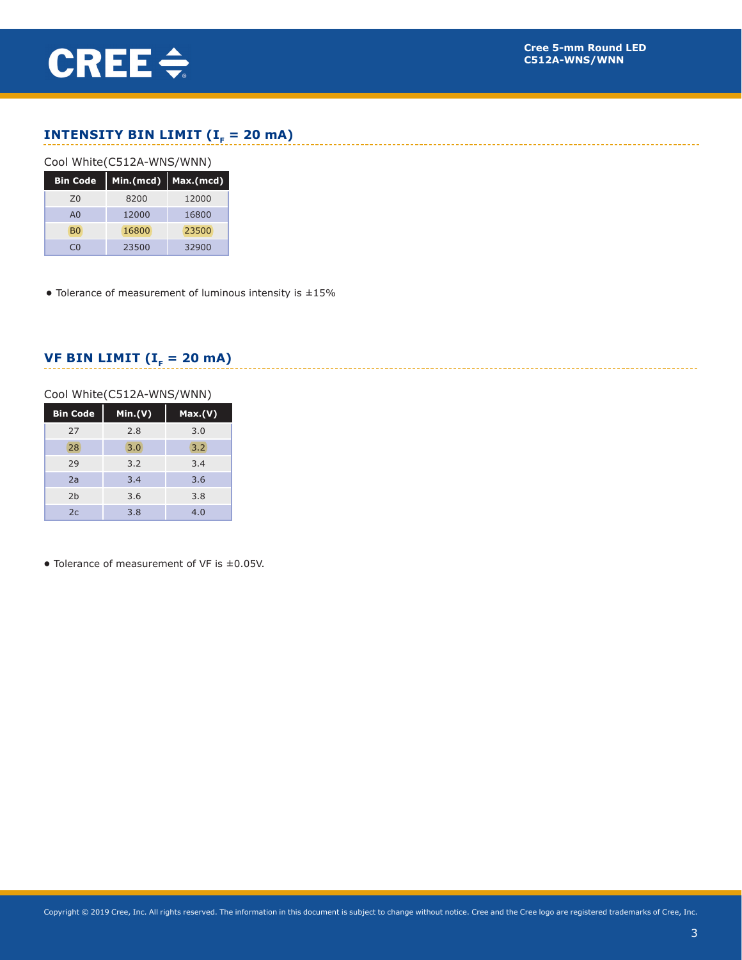#### **INTENSITY BIN LIMIT (** $I<sub>F</sub> = 20$  **mA)**

#### Cool White(C512A-WNS/WNN)

| <b>Bin Code</b> | Min.(mcd) | Max.(mcd) |
|-----------------|-----------|-----------|
| 70              | 8200      | 12000     |
| A <sub>0</sub>  | 12000     | 16800     |
| B <sub>0</sub>  | 16800     | 23500     |
|                 | 23500     | 32900     |

**•** Tolerance of measurement of luminous intensity is ±15%

#### **VF BIN LIMIT (I<sub>F</sub> = 20 mA)**

#### Cool White(C512A-WNS/WNN)

| <b>Bin Code</b> | Min.(V) | Max.(V) |
|-----------------|---------|---------|
| 27              | 2.8     | 3.0     |
| 28              | 3.0     | 3.2     |
| 29              | 3.2     | 3.4     |
| 2a              | 3.4     | 3.6     |
| 2 <sub>b</sub>  | 3.6     | 3.8     |
| 2c              | 3.8     | 4.0     |

**•** Tolerance of measurement of VF is ±0.05V.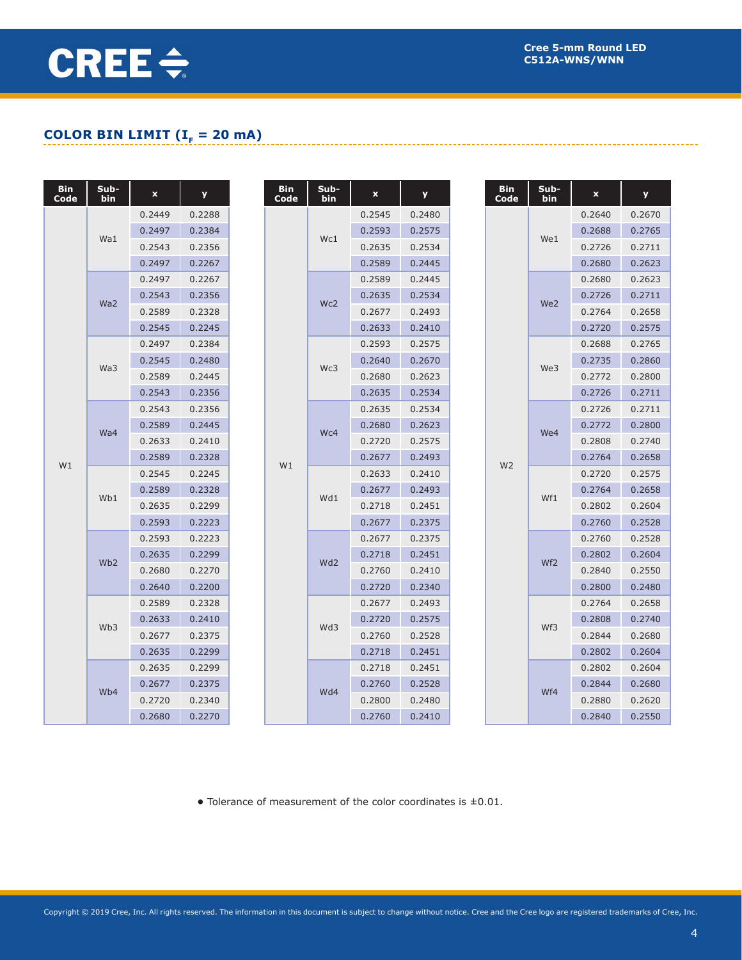## CREE $\div$

#### **COLOR BIN LIMIT (I<sub>F</sub> = 20 mA)**

| <b>Bin</b><br>Code | Sub-<br>bin     | $\pmb{\mathsf{x}}$ | y      | <b>Bin</b><br>Code | Sub-<br>bin     | $\mathbf x$ | y      |  | <b>Bin</b><br>Code | Sub-<br>bin     | $\mathbf x$ | y      |
|--------------------|-----------------|--------------------|--------|--------------------|-----------------|-------------|--------|--|--------------------|-----------------|-------------|--------|
|                    |                 | 0.2449             | 0.2288 |                    |                 | 0.2545      | 0.2480 |  |                    |                 | 0.2640      | 0.2670 |
|                    | Wa1             | 0.2497             | 0.2384 |                    | Wc1             | 0.2593      | 0.2575 |  |                    | We1             | 0.2688      | 0.2765 |
|                    |                 | 0.2543             | 0.2356 |                    |                 | 0.2635      | 0.2534 |  |                    |                 | 0.2726      | 0.2711 |
|                    |                 | 0.2497             | 0.2267 |                    |                 | 0.2589      | 0.2445 |  |                    |                 | 0.2680      | 0.2623 |
|                    |                 | 0.2497             | 0.2267 |                    |                 | 0.2589      | 0.2445 |  |                    |                 | 0.2680      | 0.2623 |
|                    | Wa2             | 0.2543             | 0.2356 |                    | Wc2             | 0.2635      | 0.2534 |  |                    | We <sub>2</sub> | 0.2726      | 0.2711 |
|                    |                 | 0.2589             | 0.2328 |                    |                 | 0.2677      | 0.2493 |  |                    |                 | 0.2764      | 0.2658 |
|                    |                 | 0.2545             | 0.2245 |                    |                 | 0.2633      | 0.2410 |  |                    |                 | 0.2720      | 0.2575 |
|                    |                 | 0.2497             | 0.2384 |                    |                 | 0.2593      | 0.2575 |  |                    |                 | 0.2688      | 0.2765 |
|                    | Wa3             | 0.2545             | 0.2480 |                    | Wc3             | 0.2640      | 0.2670 |  |                    | We3             | 0.2735      | 0.2860 |
|                    |                 | 0.2589             | 0.2445 |                    |                 | 0.2680      | 0.2623 |  |                    |                 | 0.2772      | 0.2800 |
|                    |                 | 0.2543             | 0.2356 |                    |                 | 0.2635      | 0.2534 |  |                    |                 | 0.2726      | 0.2711 |
|                    |                 | 0.2543             | 0.2356 |                    |                 | 0.2635      | 0.2534 |  |                    |                 | 0.2726      | 0.2711 |
|                    | Wa4             | 0.2589             | 0.2445 |                    | Wc4             | 0.2680      | 0.2623 |  |                    | We4             | 0.2772      | 0.2800 |
|                    |                 | 0.2633             | 0.2410 |                    |                 | 0.2720      | 0.2575 |  | W <sub>2</sub>     |                 | 0.2808      | 0.2740 |
| W1                 |                 | 0.2589             | 0.2328 | W1                 |                 | 0.2677      | 0.2493 |  |                    |                 | 0.2764      | 0.2658 |
|                    |                 | 0.2545             | 0.2245 |                    |                 | 0.2633      | 0.2410 |  |                    | Wf1             | 0.2720      | 0.2575 |
|                    | Wb1             | 0.2589             | 0.2328 |                    | Wd1             | 0.2677      | 0.2493 |  |                    |                 | 0.2764      | 0.2658 |
|                    |                 | 0.2635             | 0.2299 |                    |                 | 0.2718      | 0.2451 |  |                    |                 | 0.2802      | 0.2604 |
|                    |                 | 0.2593             | 0.2223 |                    |                 | 0.2677      | 0.2375 |  |                    |                 | 0.2760      | 0.2528 |
|                    |                 | 0.2593             | 0.2223 |                    |                 | 0.2677      | 0.2375 |  |                    |                 | 0.2760      | 0.2528 |
|                    | Wb <sub>2</sub> | 0.2635             | 0.2299 |                    | Wd <sub>2</sub> | 0.2718      | 0.2451 |  |                    | Wf <sub>2</sub> | 0.2802      | 0.2604 |
|                    |                 | 0.2680             | 0.2270 |                    |                 | 0.2760      | 0.2410 |  |                    |                 | 0.2840      | 0.2550 |
|                    |                 | 0.2640             | 0.2200 |                    |                 | 0.2720      | 0.2340 |  |                    |                 | 0.2800      | 0.2480 |
|                    |                 | 0.2589             | 0.2328 |                    |                 | 0.2677      | 0.2493 |  |                    |                 | 0.2764      | 0.2658 |
|                    | Wb <sub>3</sub> | 0.2633             | 0.2410 |                    | Wd3             | 0.2720      | 0.2575 |  |                    | Wf3             | 0.2808      | 0.2740 |
|                    |                 | 0.2677             | 0.2375 |                    |                 | 0.2760      | 0.2528 |  |                    |                 | 0.2844      | 0.2680 |
|                    |                 | 0.2635             | 0.2299 |                    |                 | 0.2718      | 0.2451 |  |                    |                 | 0.2802      | 0.2604 |
|                    |                 | 0.2635             | 0.2299 |                    |                 | 0.2718      | 0.2451 |  |                    |                 | 0.2802      | 0.2604 |
|                    | Wb4             | 0.2677             | 0.2375 |                    | Wd4             | 0.2760      | 0.2528 |  |                    | Wf4             | 0.2844      | 0.2680 |
|                    |                 | 0.2720             | 0.2340 |                    |                 | 0.2800      | 0.2480 |  |                    |                 | 0.2880      | 0.2620 |
|                    |                 | 0.2680             | 0.2270 |                    |                 | 0.2760      | 0.2410 |  |                    |                 | 0.2840      | 0.2550 |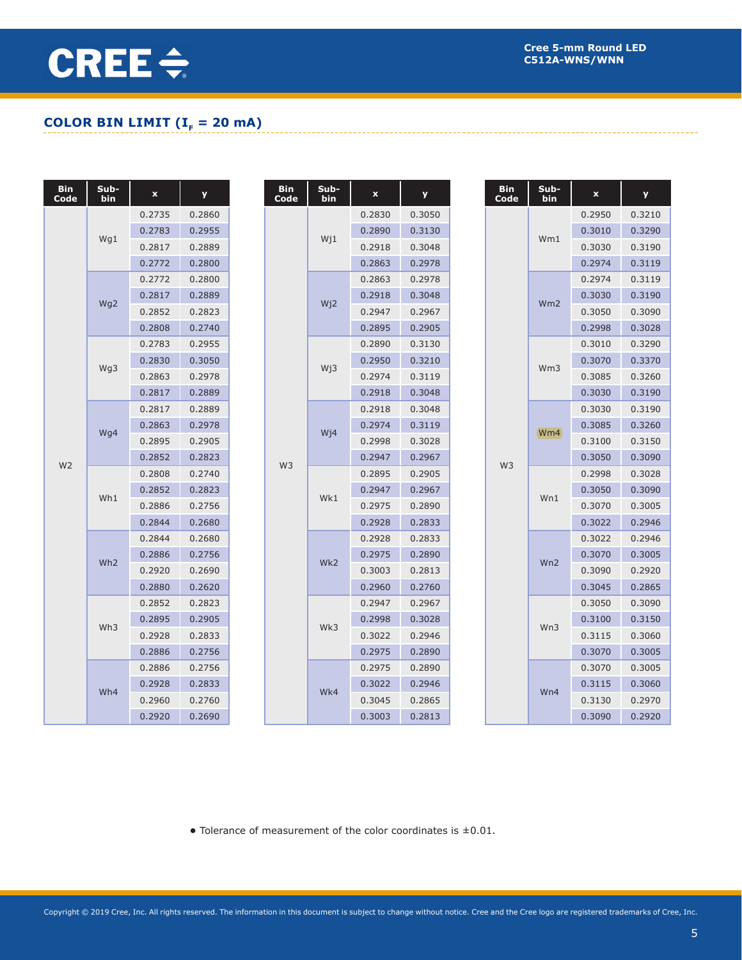### **COLOR BIN LIMIT (** $I<sub>F</sub> = 20$  **mA)**

| Bin<br>Code    | Sub-<br>bin     | $\pmb{\mathsf{x}}$ | y      | <b>Bin</b><br>Code | Sub-<br>bin      | $\boldsymbol{\mathsf{x}}$ | y      |  | <b>Bin</b><br>Code | Sub-<br>bin     | $\boldsymbol{\mathsf{x}}$ | y      |
|----------------|-----------------|--------------------|--------|--------------------|------------------|---------------------------|--------|--|--------------------|-----------------|---------------------------|--------|
|                |                 | 0.2735             | 0.2860 |                    |                  | 0.2830                    | 0.3050 |  |                    |                 | 0.2950                    | 0.3210 |
|                | Wg1             | 0.2783             | 0.2955 |                    | $W_11$           | 0.2890                    | 0.3130 |  |                    | Wm1             | 0.3010                    | 0.3290 |
|                |                 | 0.2817             | 0.2889 |                    |                  | 0.2918                    | 0.3048 |  |                    |                 | 0.3030                    | 0.3190 |
|                |                 | 0.2772             | 0.2800 |                    |                  | 0.2863                    | 0.2978 |  |                    |                 | 0.2974                    | 0.3119 |
|                |                 | 0.2772             | 0.2800 |                    |                  | 0.2863                    | 0.2978 |  |                    |                 | 0.2974                    | 0.3119 |
|                | Wg <sub>2</sub> | 0.2817             | 0.2889 |                    | Wj2              | 0.2918                    | 0.3048 |  |                    | Wm <sub>2</sub> | 0.3030                    | 0.3190 |
|                |                 | 0.2852             | 0.2823 |                    |                  | 0.2947                    | 0.2967 |  |                    |                 | 0.3050                    | 0.3090 |
|                |                 | 0.2808             | 0.2740 |                    |                  | 0.2895                    | 0.2905 |  |                    |                 | 0.2998                    | 0.3028 |
|                |                 | 0.2783             | 0.2955 |                    |                  | 0.2890                    | 0.3130 |  |                    |                 | 0.3010                    | 0.3290 |
|                | Wg3             | 0.2830             | 0.3050 |                    | Wj3              | 0.2950                    | 0.3210 |  |                    | Wm <sub>3</sub> | 0.3070                    | 0.3370 |
|                |                 | 0.2863             | 0.2978 |                    |                  | 0.2974                    | 0.3119 |  |                    |                 | 0.3085                    | 0.3260 |
|                |                 | 0.2817             | 0.2889 |                    |                  | 0.2918                    | 0.3048 |  |                    |                 | 0.3030                    | 0.3190 |
|                |                 | 0.2817             | 0.2889 |                    | W <sub>i</sub> 4 | 0.2918                    | 0.3048 |  |                    |                 | 0.3030                    | 0.3190 |
|                | Wg4             | 0.2863             | 0.2978 |                    |                  | 0.2974                    | 0.3119 |  |                    | Wm4             | 0.3085                    | 0.3260 |
|                |                 | 0.2895             | 0.2905 |                    |                  | 0.2998                    | 0.3028 |  |                    |                 | 0.3100                    | 0.3150 |
| W <sub>2</sub> |                 | 0.2852             | 0.2823 | W <sub>3</sub>     |                  | 0.2947                    | 0.2967 |  | W <sub>3</sub>     |                 | 0.3050                    | 0.3090 |
|                |                 | 0.2808             | 0.2740 |                    |                  | 0.2895                    | 0.2905 |  |                    |                 | 0.2998                    | 0.3028 |
|                | Wh1             | 0.2852             | 0.2823 |                    | Wk1              | 0.2947                    | 0.2967 |  |                    | Wn1             | 0.3050                    | 0.3090 |
|                |                 | 0.2886             | 0.2756 |                    |                  | 0.2975                    | 0.2890 |  |                    |                 | 0.3070                    | 0.3005 |
|                |                 | 0.2844             | 0.2680 |                    |                  | 0.2928                    | 0.2833 |  |                    |                 | 0.3022                    | 0.2946 |
|                |                 | 0.2844             | 0.2680 |                    |                  | 0.2928                    | 0.2833 |  |                    |                 | 0.3022                    | 0.2946 |
|                | Wh <sub>2</sub> | 0.2886             | 0.2756 |                    | Wk2              | 0.2975                    | 0.2890 |  |                    | Wn2             | 0.3070                    | 0.3005 |
|                |                 | 0.2920             | 0.2690 |                    |                  | 0.3003                    | 0.2813 |  |                    |                 | 0.3090                    | 0.2920 |
|                |                 | 0.2880             | 0.2620 |                    |                  | 0.2960                    | 0.2760 |  |                    |                 | 0.3045                    | 0.2865 |
|                |                 | 0.2852             | 0.2823 |                    |                  | 0.2947                    | 0.2967 |  |                    |                 | 0.3050                    | 0.3090 |
|                | Wh <sub>3</sub> | 0.2895             | 0.2905 |                    | Wk3              | 0.2998                    | 0.3028 |  |                    | Wn3             | 0.3100                    | 0.3150 |
|                |                 | 0.2928             | 0.2833 |                    |                  | 0.3022                    | 0.2946 |  |                    |                 | 0.3115                    | 0.3060 |
|                |                 | 0.2886             | 0.2756 |                    |                  | 0.2975                    | 0.2890 |  |                    |                 | 0.3070                    | 0.3005 |
|                |                 | 0.2886             | 0.2756 |                    |                  | 0.2975                    | 0.2890 |  |                    |                 | 0.3070                    | 0.3005 |
|                | Wh4             | 0.2928             | 0.2833 |                    | Wk4              | 0.3022                    | 0.2946 |  |                    | Wn4             | 0.3115                    | 0.3060 |
|                |                 | 0.2960             | 0.2760 |                    |                  | 0.3045                    | 0.2865 |  |                    |                 | 0.3130                    | 0.2970 |
|                |                 | 0.2920             | 0.2690 |                    |                  | 0.3003                    | 0.2813 |  |                    |                 | 0.3090                    | 0.2920 |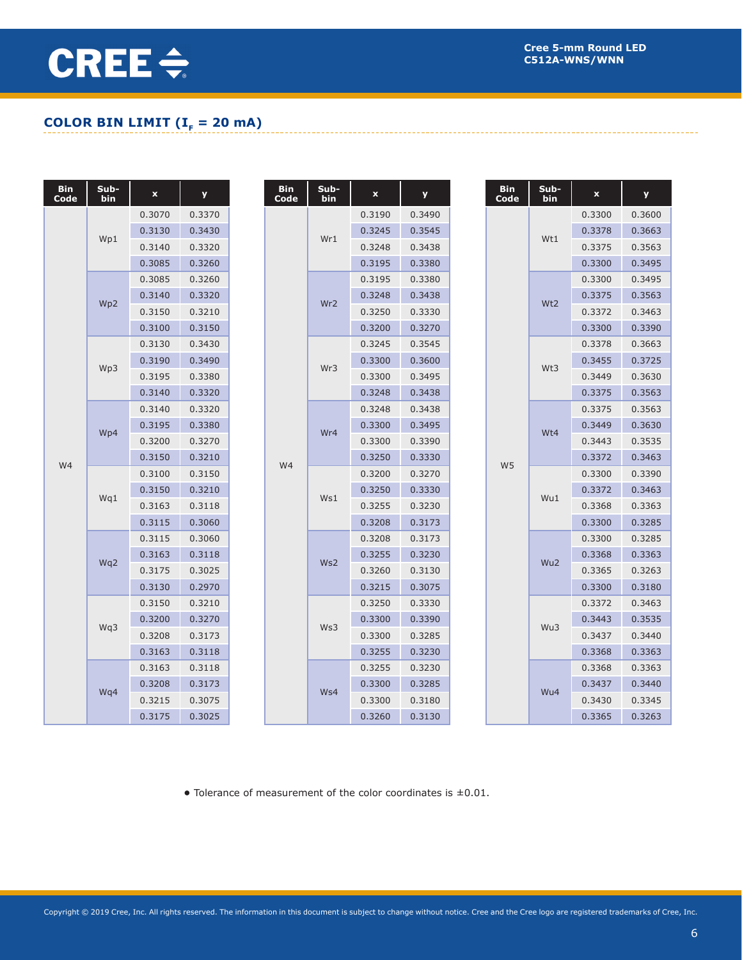### **COLOR BIN LIMIT (** $I<sub>F</sub> = 20$  **mA)**

| <b>Bin</b><br>Code | Sub-<br>bin     | $\boldsymbol{\mathsf{x}}$ | y      |  | Bin<br>Code | Sub-<br>bin     | $\boldsymbol{\mathsf{x}}$ | У      |  | <b>Bin</b><br>Code | Sub-<br>bin | ×      | y      |
|--------------------|-----------------|---------------------------|--------|--|-------------|-----------------|---------------------------|--------|--|--------------------|-------------|--------|--------|
|                    |                 | 0.3070                    | 0.3370 |  |             |                 | 0.3190                    | 0.3490 |  |                    |             | 0.3300 | 0.3600 |
|                    | Wp1             | 0.3130                    | 0.3430 |  |             | Wr1             | 0.3245                    | 0.3545 |  |                    | Wt1         | 0.3378 | 0.3663 |
|                    |                 | 0.3140                    | 0.3320 |  |             |                 | 0.3248                    | 0.3438 |  |                    |             | 0.3375 | 0.3563 |
|                    |                 | 0.3085                    | 0.3260 |  |             |                 | 0.3195                    | 0.3380 |  |                    |             | 0.3300 | 0.3495 |
|                    |                 | 0.3085                    | 0.3260 |  |             |                 | 0.3195                    | 0.3380 |  |                    |             | 0.3300 | 0.3495 |
|                    | Wp <sub>2</sub> | 0.3140                    | 0.3320 |  |             | Wr <sub>2</sub> | 0.3248                    | 0.3438 |  |                    | Wt2         | 0.3375 | 0.3563 |
|                    |                 | 0.3150                    | 0.3210 |  |             |                 | 0.3250                    | 0.3330 |  |                    |             | 0.3372 | 0.3463 |
|                    |                 | 0.3100                    | 0.3150 |  |             |                 | 0.3200                    | 0.3270 |  |                    |             | 0.3300 | 0.3390 |
|                    |                 | 0.3130                    | 0.3430 |  |             |                 | 0.3245                    | 0.3545 |  |                    |             | 0.3378 | 0.3663 |
|                    | Wp3             | 0.3190                    | 0.3490 |  |             | Wr3             | 0.3300                    | 0.3600 |  |                    | Wt3         | 0.3455 | 0.3725 |
|                    |                 | 0.3195                    | 0.3380 |  |             |                 | 0.3300                    | 0.3495 |  |                    |             | 0.3449 | 0.3630 |
|                    |                 | 0.3140                    | 0.3320 |  |             |                 | 0.3248                    | 0.3438 |  |                    |             | 0.3375 | 0.3563 |
|                    |                 | 0.3140                    | 0.3320 |  |             |                 | 0.3248                    | 0.3438 |  |                    |             | 0.3375 | 0.3563 |
|                    | Wp4             | 0.3195                    | 0.3380 |  | Wr4         |                 | 0.3300                    | 0.3495 |  |                    | Wt4         | 0.3449 | 0.3630 |
|                    |                 | 0.3200                    | 0.3270 |  |             | 0.3300          | 0.3390                    |        |  |                    | 0.3443      | 0.3535 |        |
| W4                 |                 | 0.3150                    | 0.3210 |  | W4          |                 | 0.3250                    | 0.3330 |  | W <sub>5</sub>     |             | 0.3372 | 0.3463 |
|                    |                 | 0.3100                    | 0.3150 |  |             |                 | 0.3200                    | 0.3270 |  |                    |             | 0.3300 | 0.3390 |
|                    | Wq1             | 0.3150                    | 0.3210 |  |             | Ws1             | 0.3250                    | 0.3330 |  |                    | Wu1         | 0.3372 | 0.3463 |
|                    |                 | 0.3163                    | 0.3118 |  |             |                 | 0.3255                    | 0.3230 |  |                    |             | 0.3368 | 0.3363 |
|                    |                 | 0.3115                    | 0.3060 |  |             |                 | 0.3208                    | 0.3173 |  |                    |             | 0.3300 | 0.3285 |
|                    |                 | 0.3115                    | 0.3060 |  |             |                 | 0.3208                    | 0.3173 |  |                    |             | 0.3300 | 0.3285 |
|                    | Wq2             | 0.3163                    | 0.3118 |  |             | Ws2             | 0.3255                    | 0.3230 |  |                    | Wu2         | 0.3368 | 0.3363 |
|                    |                 | 0.3175                    | 0.3025 |  |             |                 | 0.3260                    | 0.3130 |  |                    |             | 0.3365 | 0.3263 |
|                    |                 | 0.3130                    | 0.2970 |  |             |                 | 0.3215                    | 0.3075 |  |                    |             | 0.3300 | 0.3180 |
|                    |                 | 0.3150                    | 0.3210 |  |             |                 | 0.3250                    | 0.3330 |  |                    |             | 0.3372 | 0.3463 |
|                    | Wq3             | 0.3200                    | 0.3270 |  |             | Ws3             | 0.3300                    | 0.3390 |  |                    | Wu3         | 0.3443 | 0.3535 |
|                    |                 | 0.3208                    | 0.3173 |  |             |                 | 0.3300                    | 0.3285 |  |                    |             | 0.3437 | 0.3440 |
|                    |                 | 0.3163                    | 0.3118 |  |             |                 | 0.3255                    | 0.3230 |  |                    |             | 0.3368 | 0.3363 |
|                    |                 | 0.3163                    | 0.3118 |  |             |                 | 0.3255                    | 0.3230 |  |                    |             | 0.3368 | 0.3363 |
|                    | Wq4             | 0.3208                    | 0.3173 |  |             | Ws4             | 0.3300                    | 0.3285 |  |                    | Wu4         | 0.3437 | 0.3440 |
|                    |                 | 0.3215                    | 0.3075 |  |             |                 | 0.3300                    | 0.3180 |  |                    |             | 0.3430 | 0.3345 |
|                    |                 | 0.3175                    | 0.3025 |  |             |                 | 0.3260                    | 0.3130 |  |                    |             | 0.3365 | 0.3263 |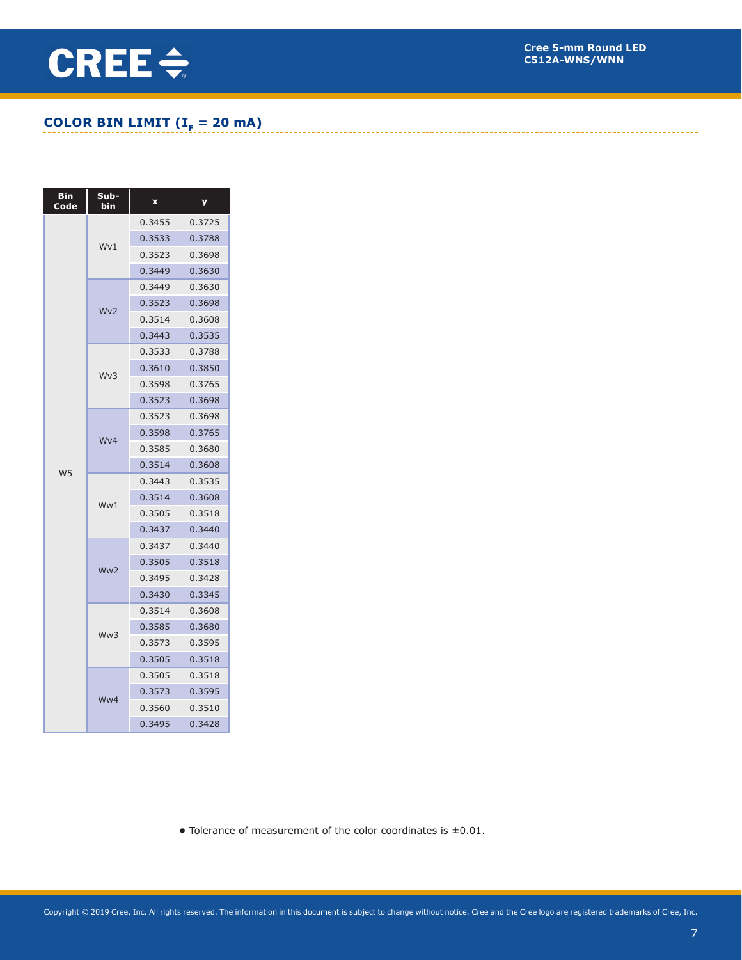#### **COLOR BIN LIMIT (** $I<sub>F</sub> = 20$  **mA)**

| <b>Bin</b><br>Code | Sub-<br>bin     | x      | У      |
|--------------------|-----------------|--------|--------|
|                    |                 | 0.3455 | 0.3725 |
|                    | Wv1             | 0.3533 | 0.3788 |
|                    |                 | 0.3523 | 0.3698 |
|                    |                 | 0.3449 | 0.3630 |
|                    |                 | 0.3449 | 0.3630 |
|                    | Wv2             | 0.3523 | 0.3698 |
|                    |                 | 0.3514 | 0.3608 |
|                    |                 | 0.3443 | 0.3535 |
|                    |                 | 0.3533 | 0.3788 |
|                    | Wv3             | 0.3610 | 0.3850 |
|                    |                 | 0.3598 | 0.3765 |
|                    |                 | 0.3523 | 0.3698 |
|                    |                 | 0.3523 | 0.3698 |
|                    | Wy4             | 0.3598 | 0.3765 |
|                    |                 | 0.3585 | 0.3680 |
| W <sub>5</sub>     |                 | 0.3514 | 0.3608 |
|                    |                 | 0.3443 | 0.3535 |
|                    | Ww1             | 0.3514 | 0.3608 |
|                    |                 | 0.3505 | 0.3518 |
|                    |                 | 0.3437 | 0.3440 |
|                    |                 | 0.3437 | 0.3440 |
|                    | Ww <sub>2</sub> | 0.3505 | 0.3518 |
|                    |                 | 0.3495 | 0.3428 |
|                    |                 | 0.3430 | 0.3345 |
|                    |                 | 0.3514 | 0.3608 |
|                    | Ww3             | 0.3585 | 0.3680 |
|                    |                 | 0.3573 | 0.3595 |
|                    |                 | 0.3505 | 0.3518 |
|                    |                 | 0.3505 | 0.3518 |
|                    | Ww4             | 0.3573 | 0.3595 |
|                    |                 | 0.3560 | 0.3510 |
|                    |                 | 0.3495 | 0.3428 |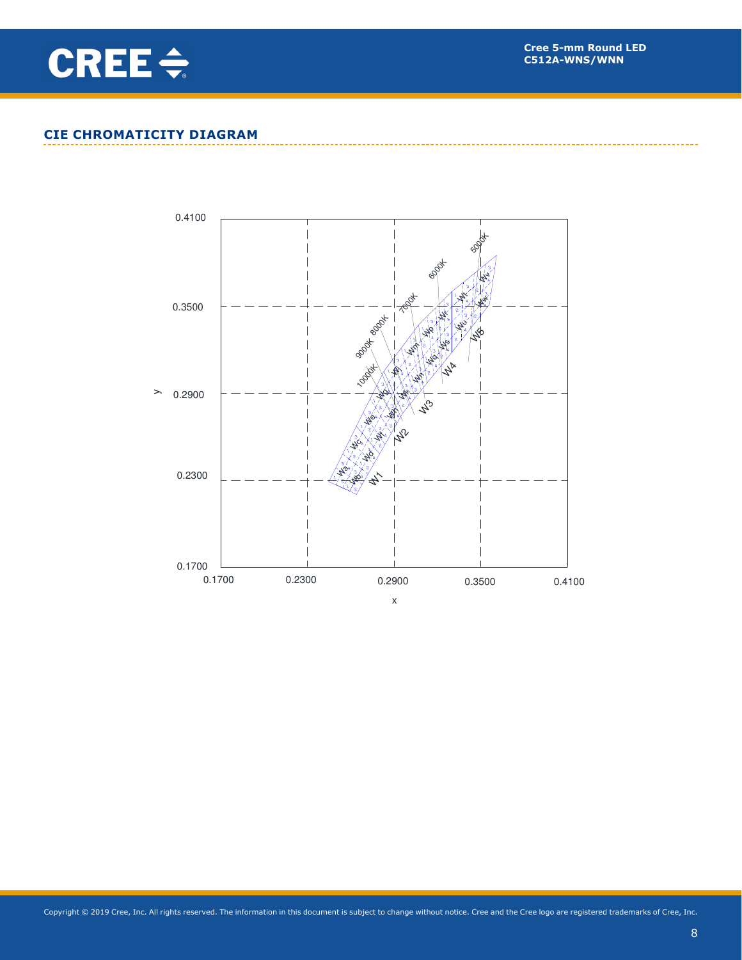

#### **CIE CHROMATICITY DIAGRAM**

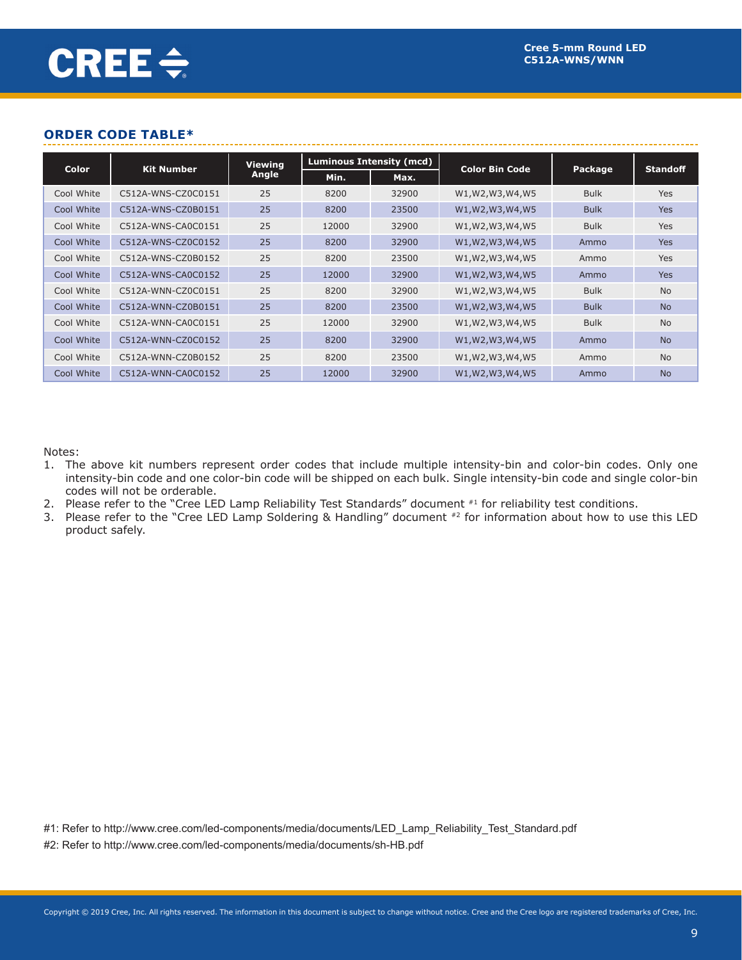#### **ORDER CODE TABLE\***

|              |                    | <b>Viewing</b> |       | Luminous Intensity (mcd) |                       |             |                 |
|--------------|--------------------|----------------|-------|--------------------------|-----------------------|-------------|-----------------|
| <b>Color</b> | <b>Kit Number</b>  | Angle          | Min.  | Max.                     | <b>Color Bin Code</b> | Package     | <b>Standoff</b> |
| Cool White   | C512A-WNS-CZ0C0151 | 25             | 8200  | 32900                    | W1, W2, W3, W4, W5    | <b>Bulk</b> | Yes             |
| Cool White   | C512A-WNS-CZ0B0151 | 25             | 8200  | 23500                    | W1, W2, W3, W4, W5    | <b>Bulk</b> | <b>Yes</b>      |
| Cool White   | C512A-WNS-CA0C0151 | 25             | 12000 | 32900                    | W1, W2, W3, W4, W5    | <b>Bulk</b> | Yes             |
| Cool White   | C512A-WNS-CZ0C0152 | 25             | 8200  | 32900                    | W1, W2, W3, W4, W5    | Ammo        | <b>Yes</b>      |
| Cool White   | C512A-WNS-CZ0B0152 | 25             | 8200  | 23500                    | W1, W2, W3, W4, W5    | Ammo        | Yes             |
| Cool White   | C512A-WNS-CA0C0152 | 25             | 12000 | 32900                    | W1, W2, W3, W4, W5    | Ammo        | <b>Yes</b>      |
| Cool White   | C512A-WNN-CZ0C0151 | 25             | 8200  | 32900                    | W1, W2, W3, W4, W5    | <b>Bulk</b> | <b>No</b>       |
| Cool White   | C512A-WNN-CZ0B0151 | 25             | 8200  | 23500                    | W1, W2, W3, W4, W5    | <b>Bulk</b> | <b>No</b>       |
| Cool White   | C512A-WNN-CA0C0151 | 25             | 12000 | 32900                    | W1, W2, W3, W4, W5    | <b>Bulk</b> | <b>No</b>       |
| Cool White   | C512A-WNN-CZ0C0152 | 25             | 8200  | 32900                    | W1, W2, W3, W4, W5    | Ammo        | <b>No</b>       |
| Cool White   | C512A-WNN-CZ0B0152 | 25             | 8200  | 23500                    | W1, W2, W3, W4, W5    | Ammo        | <b>No</b>       |
| Cool White   | C512A-WNN-CA0C0152 | 25             | 12000 | 32900                    | W1, W2, W3, W4, W5    | Ammo        | <b>No</b>       |

Notes:

- 1. The above kit numbers represent order codes that include multiple intensity-bin and color-bin codes. Only one intensity-bin code and one color-bin code will be shipped on each bulk. Single intensity-bin code and single color-bin codes will not be orderable.
- 2. Please refer to the "Cree LED Lamp Reliability Test Standards" document #1 for reliability test conditions.
- 3. Please refer to the "Cree LED Lamp Soldering & Handling" document #2 for information about how to use this LED product safely.

#1: Refer to http://www.cree.com/led-components/media/documents/LED\_Lamp\_Reliability\_Test\_Standard.pdf

#2: Refer to http://www.cree.com/led-components/media/documents/sh-HB.pdf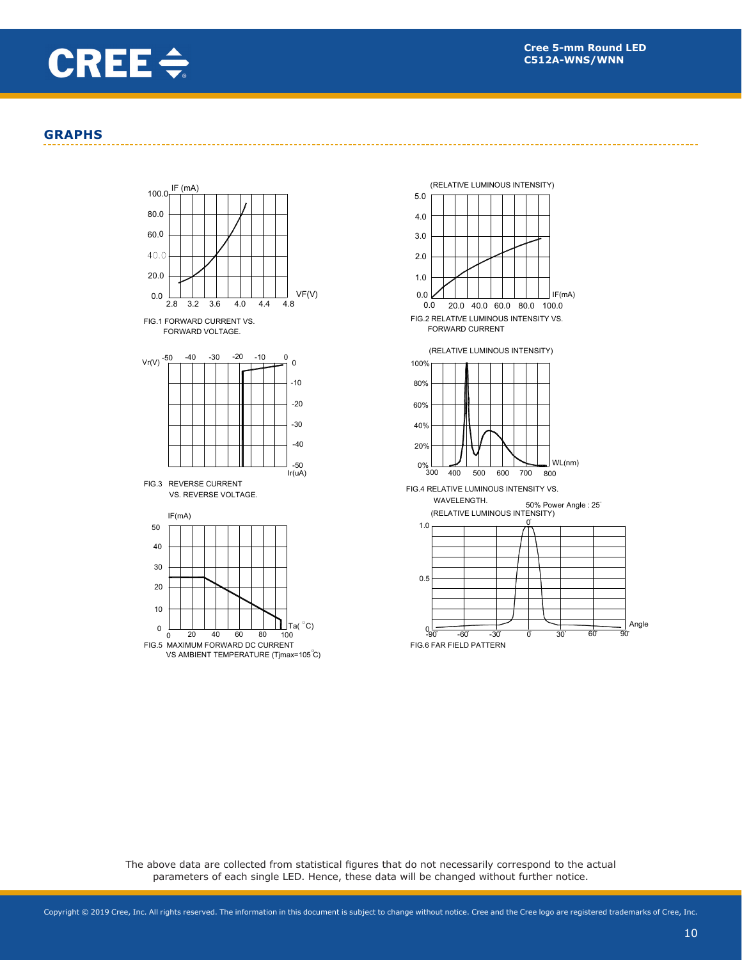![](_page_9_Picture_0.jpeg)

#### **GRAPHS**

![](_page_9_Figure_3.jpeg)

![](_page_9_Figure_4.jpeg)

The above data are collected from statistical figures that do not necessarily correspond to the actual parameters of each single LED. Hence, these data will be changed without further notice.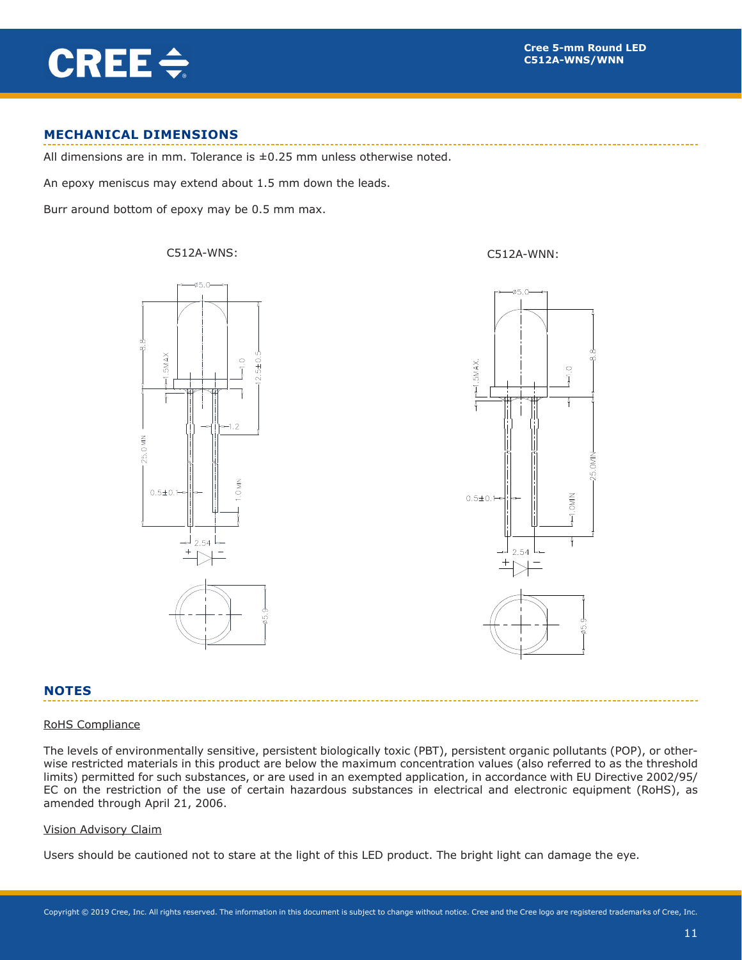# CREE $\div$

#### **MECHANICAL DIMENSIONS**

All dimensions are in mm. Tolerance is  $\pm 0.25$  mm unless otherwise noted.

An epoxy meniscus may extend about 1.5 mm down the leads.

Burr around bottom of epoxy may be 0.5 mm max.

C512A-WNS: C512A-WNN:

![](_page_10_Figure_7.jpeg)

![](_page_10_Figure_8.jpeg)

#### **NOTES**

#### RoHS Compliance

The levels of environmentally sensitive, persistent biologically toxic (PBT), persistent organic pollutants (POP), or otherwise restricted materials in this product are below the maximum concentration values (also referred to as the threshold limits) permitted for such substances, or are used in an exempted application, in accordance with EU Directive 2002/95/ EC on the restriction of the use of certain hazardous substances in electrical and electronic equipment (RoHS), as amended through April 21, 2006.

#### Vision Advisory Claim

Users should be cautioned not to stare at the light of this LED product. The bright light can damage the eye.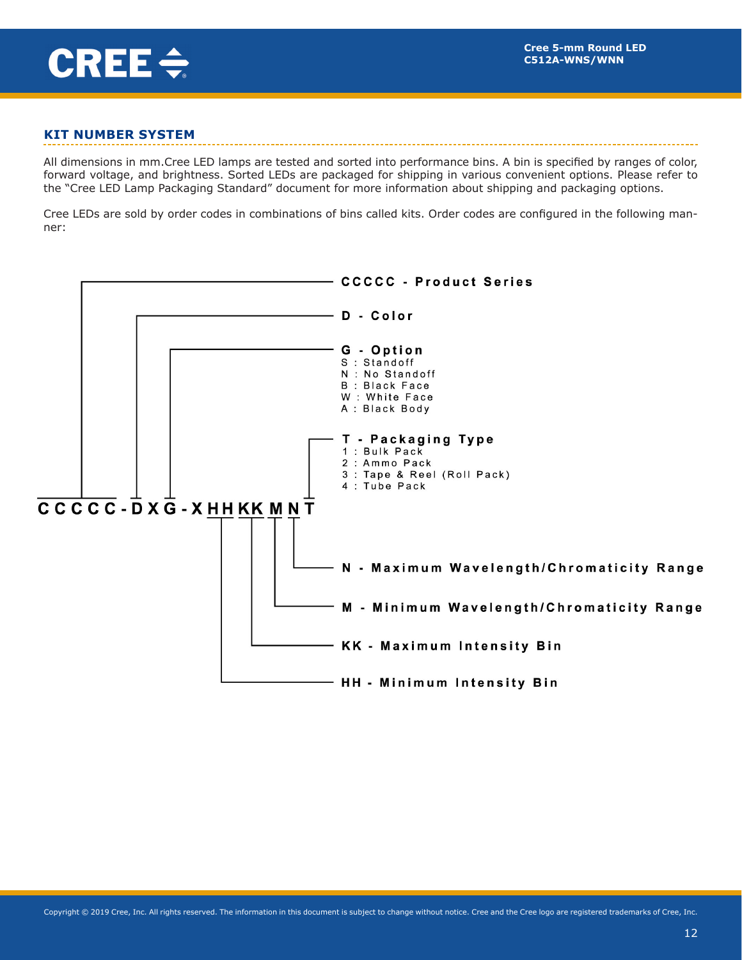![](_page_11_Picture_0.jpeg)

#### **KIT NUMBER SYSTEM**

All dimensions in mm.Cree LED lamps are tested and sorted into performance bins. A bin is specified by ranges of color, forward voltage, and brightness. Sorted LEDs are packaged for shipping in various convenient options. Please refer to the "Cree LED Lamp Packaging Standard" document for more information about shipping and packaging options.

Cree LEDs are sold by order codes in combinations of bins called kits. Order codes are configured in the following manner:

![](_page_11_Figure_5.jpeg)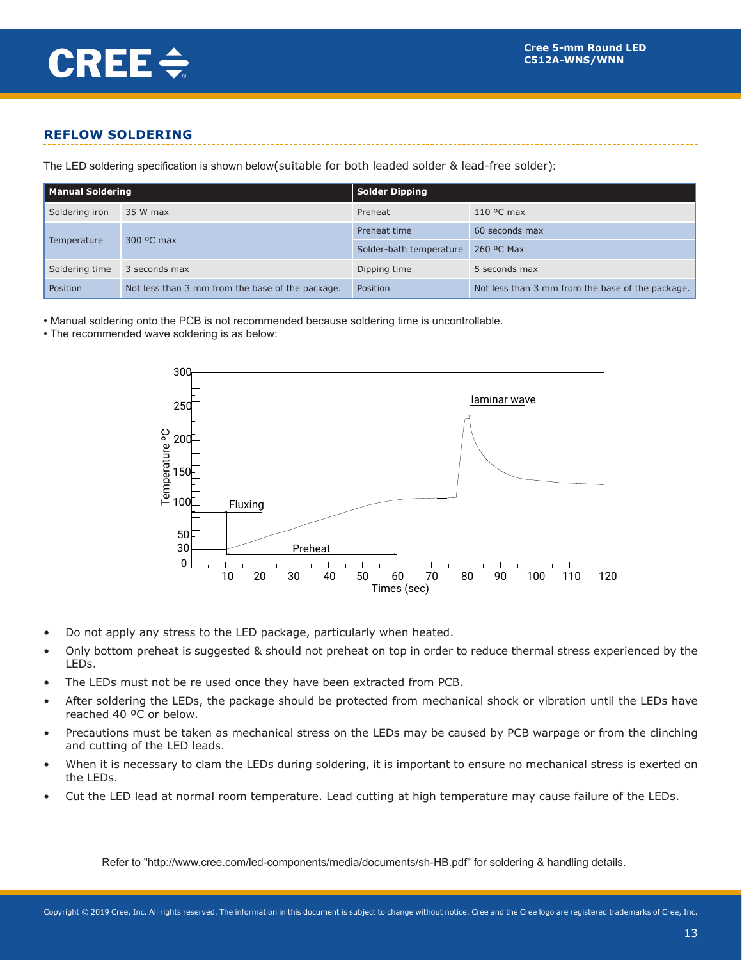#### **REFLOW SOLDERING**

The LED soldering specification is shown below(suitable for both leaded solder & lead-free solder):

| <b>Manual Soldering</b> |                                                  | Solder Dipping          |                                                  |  |  |  |  |
|-------------------------|--------------------------------------------------|-------------------------|--------------------------------------------------|--|--|--|--|
| Soldering iron          | 35 W max                                         | Preheat                 | $110$ °C max                                     |  |  |  |  |
|                         |                                                  | Preheat time            | 60 seconds max                                   |  |  |  |  |
| Temperature             | 300 °C max                                       | Solder-bath temperature | 260 °C Max                                       |  |  |  |  |
| Soldering time          | 3 seconds max                                    | Dipping time            | 5 seconds max                                    |  |  |  |  |
| Position                | Not less than 3 mm from the base of the package. | Position                | Not less than 3 mm from the base of the package. |  |  |  |  |

• Manual soldering onto the PCB is not recommended because soldering time is uncontrollable.

• The recommended wave soldering is as below:

![](_page_12_Figure_7.jpeg)

- Do not apply any stress to the LED package, particularly when heated.
- Only bottom preheat is suggested & should not preheat on top in order to reduce thermal stress experienced by the LEDs.
- The LEDs must not be re used once they have been extracted from PCB.
- After soldering the LEDs, the package should be protected from mechanical shock or vibration until the LEDs have reached 40 ºC or below.
- Precautions must be taken as mechanical stress on the LEDs may be caused by PCB warpage or from the clinching and cutting of the LED leads.
- When it is necessary to clam the LEDs during soldering, it is important to ensure no mechanical stress is exerted on the LEDs.
- Cut the LED lead at normal room temperature. Lead cutting at high temperature may cause failure of the LEDs.

Refer to "http://www.cree.com/led-components/media/documents/sh-HB.pdf" for soldering & handling details.